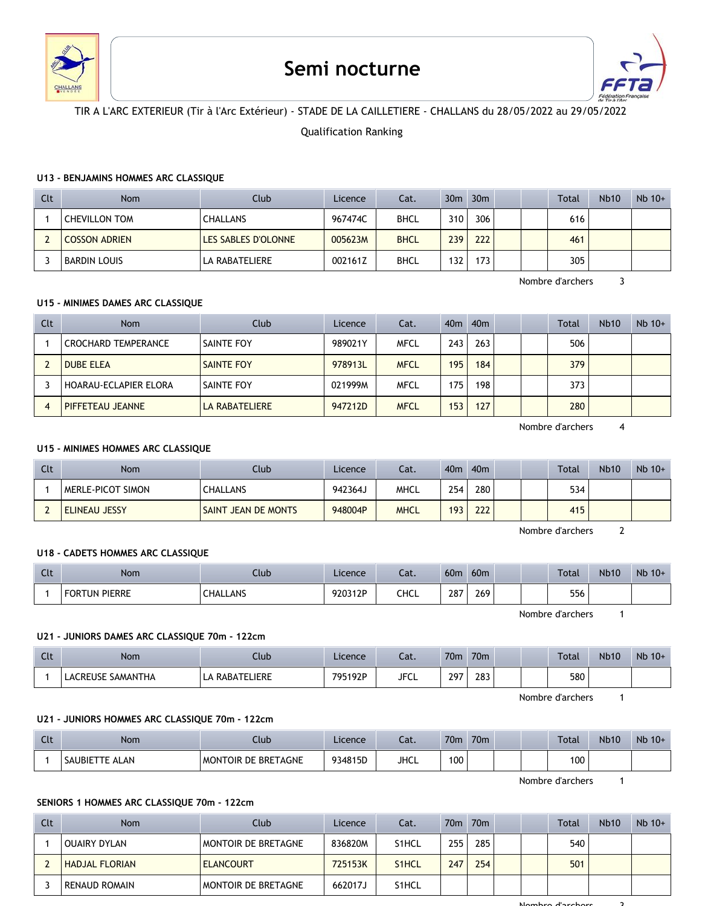

# **Semi nocturne**



# TIR A L'ARC EXTERIEUR (Tir à l'Arc Extérieur) - STADE DE LA CAILLETIERE - CHALLANS du 28/05/2022 au 29/05/2022

## Qualification Ranking

#### **U13 - BENJAMINS HOMMES ARC CLASSIQUE**

| Clt | Nom                  | Club                | Licence | Cat.        | 30 <sub>m</sub> | 30m  |  | Total | <b>Nb10</b> | $Nb$ 10+ |
|-----|----------------------|---------------------|---------|-------------|-----------------|------|--|-------|-------------|----------|
|     | <b>CHEVILLON TOM</b> | <b>CHALLANS</b>     | 967474C | <b>BHCL</b> | 310             | 306  |  | 616   |             |          |
|     | <b>COSSON ADRIEN</b> | LES SABLES D'OLONNE | 005623M | <b>BHCL</b> | 239             | 222  |  | 461   |             |          |
|     | BARDIN LOUIS         | LA RABATELIERE      | 002161Z | <b>BHCL</b> | 132             | 173. |  | 305   |             |          |

Nombre d'archers 3

# **U15 - MINIMES DAMES ARC CLASSIQUE**

| Clt | <b>Nom</b>            | Club                  | Licence | Cat.        | 40m | 40 <sub>m</sub> |  | <b>Total</b> | <b>Nb10</b> | $Nb$ 10+ |
|-----|-----------------------|-----------------------|---------|-------------|-----|-----------------|--|--------------|-------------|----------|
|     | CROCHARD TEMPERANCE   | <b>SAINTE FOY</b>     | 989021Y | <b>MFCL</b> | 243 | 263             |  | 506          |             |          |
|     | <b>DUBE ELEA</b>      | SAINTE FOY            | 978913L | <b>MFCL</b> | 195 | 184             |  | 379          |             |          |
|     | HOARAU-ECLAPIER ELORA | <b>SAINTE FOY</b>     | 021999M | <b>MFCL</b> | 175 | 198             |  | 373          |             |          |
|     | PIFFETEAU JEANNE      | <b>LA RABATELIERE</b> | 947212D | <b>MFCL</b> | 153 | 127             |  | 280          |             |          |

Nombre d'archers 4

### **U15 - MINIMES HOMMES ARC CLASSIQUE**

| Clt | Nom                      | Club                       | Licence | Cat.        | 40 <sub>m</sub> | 40 <sub>m</sub> |  | Total | <b>Nb10</b> | $Nb$ 10+ |
|-----|--------------------------|----------------------------|---------|-------------|-----------------|-----------------|--|-------|-------------|----------|
|     | <b>MERLE-PICOT SIMON</b> | <b>CHALLANS</b>            | 942364J | MHCL        | 254             | 280             |  | 534   |             |          |
|     | <b>ELINEAU JESSY</b>     | <b>SAINT JEAN DE MONTS</b> | 948004P | <b>MHCL</b> | 193             | 222             |  | 415   |             |          |

Nombre d'archers 2

#### **U18 - CADETS HOMMES ARC CLASSIQUE**

| Clt | Nom                  | Club            | Licence | $\sim$<br>cal. | 60 <sub>m</sub> | 60 <sub>m</sub> |  | <b>Total</b> | <b>Nb10</b> | $Nb$ 10+ |
|-----|----------------------|-----------------|---------|----------------|-----------------|-----------------|--|--------------|-------------|----------|
|     | <b>FORTUN PIERRE</b> | <b>CHALLANS</b> | 920312P | CHCL           | 287<br>$\sim$   | 269             |  | 556          |             |          |

Nombre d'archers 1

#### **U21 - JUNIORS DAMES ARC CLASSIQUE 70m - 122cm**

| Clt | Nom               | Club               | Licence | Cat.        | 70 <sub>m</sub> | 70 <sub>m</sub> |  | <b>Total</b> | <b>Nb10</b> | $Nb$ 10+ |
|-----|-------------------|--------------------|---------|-------------|-----------------|-----------------|--|--------------|-------------|----------|
|     | LACREUSE SAMANTHA | RABATELIERE<br>LA. | 795192P | <b>JFCL</b> | 297             | 283             |  | 580          |             |          |

Nombre d'archers 1

# **U21 - JUNIORS HOMMES ARC CLASSIQUE 70m - 122cm**

| $\sim$<br>นเ | <b>Nom</b>               | Club                | Licence | Cat.        | 70 <sub>m</sub> | 70 <sub>m</sub> |  | <b>Total</b> | <b>Nb10</b> | Nb 10+ |
|--------------|--------------------------|---------------------|---------|-------------|-----------------|-----------------|--|--------------|-------------|--------|
|              | <b>SAUBIETTE</b><br>ALAN | MONTOIR DE BRETAGNE | 934815D | <b>JHCL</b> | 100             |                 |  | 100          |             |        |

Nombre d'archers 1

## **SENIORS 1 HOMMES ARC CLASSIQUE 70m - 122cm**

| Clt | Nom                   | Club                       | Licence | Cat.               | 70 <sub>m</sub> | 70 <sub>m</sub> |  | Total | <b>Nb10</b> | $Nb$ 10+ |
|-----|-----------------------|----------------------------|---------|--------------------|-----------------|-----------------|--|-------|-------------|----------|
|     | <b>OUAIRY DYLAN</b>   | MONTOIR DE BRETAGNE        | 836820M | S <sub>1</sub> HCL | 255             | 285             |  | 540   |             |          |
|     | <b>HADJAL FLORIAN</b> | <b>ELANCOURT</b>           | 725153K | S <sub>1</sub> HCL | 247             | 254             |  | 501   |             |          |
|     | <b>RENAUD ROMAIN</b>  | <b>MONTOIR DE BRETAGNE</b> | 662017J | S <sub>1</sub> HCL |                 |                 |  |       |             |          |

Nombre d'archers 3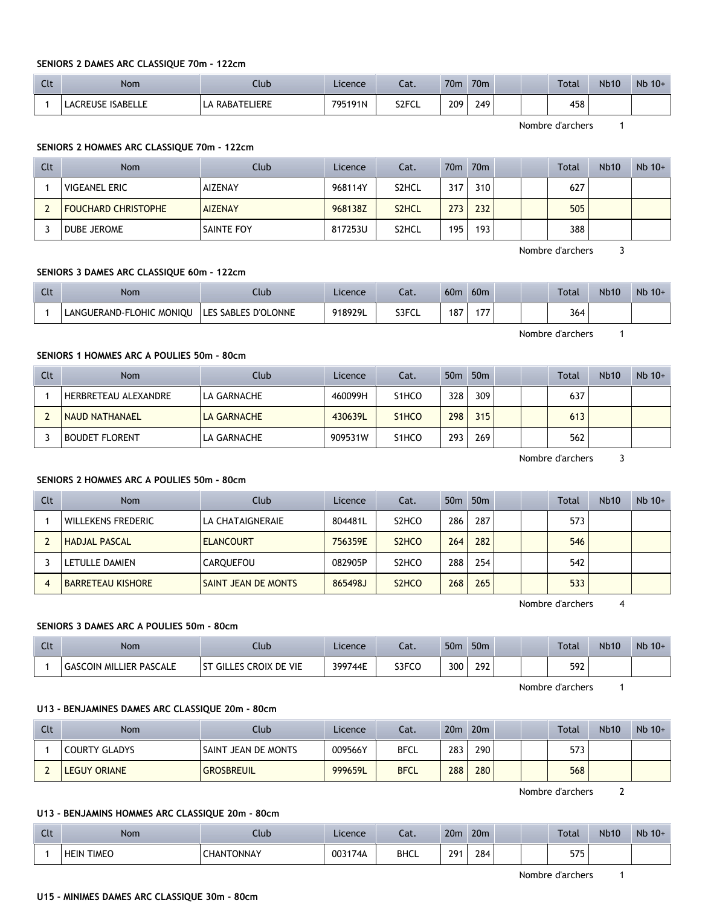#### **SENIORS 2 DAMES ARC CLASSIQUE 70m - 122cm**

| $\sim$<br>. . | Nom                      | Club                | Licence | ۰.,<br>cal. | 70 <sub>m</sub> | 70 <sub>m</sub> |  | <b>Total</b> | <b>Nb10</b> | $Nb$ 10+ |
|---------------|--------------------------|---------------------|---------|-------------|-----------------|-----------------|--|--------------|-------------|----------|
|               | <b>LACREUSE ISABELLE</b> | \ RABATELIERE<br>LA | 795191N | S2FCL       | 209<br>$\sim$   | 249             |  | 458          |             |          |

Nombre d'archers 1

# **SENIORS 2 HOMMES ARC CLASSIQUE 70m - 122cm**

| Clt | Nom                        | Club           | Licence | Cat.               | 70 <sub>m</sub> | $\sqrt{70m}$ |  | <b>Total</b> | <b>Nb10</b> | $Nb$ 10+ |
|-----|----------------------------|----------------|---------|--------------------|-----------------|--------------|--|--------------|-------------|----------|
|     | <b>VIGEANEL ERIC</b>       | AIZENAY        | 968114Y | S <sub>2</sub> HCL | 317             | 310          |  | 627          |             |          |
|     | <b>FOUCHARD CHRISTOPHE</b> | <b>AIZENAY</b> | 968138Z | S <sub>2</sub> HCL | 273             | 232          |  | 505          |             |          |
|     | DUBE JEROME                | SAINTE FOY     | 817253U | S2HCL              | 195             | 193          |  | 388          |             |          |

Nombre d'archers 3

#### **SENIORS 3 DAMES ARC CLASSIQUE 60m - 122cm**

| Clt | Nom                      | Llub                       | Licence | cal.  | 60 <sub>m</sub> | 60 <sub>m</sub> |  | <b>Total</b> | <b>Nb10</b> | $Nb$ 10+ |
|-----|--------------------------|----------------------------|---------|-------|-----------------|-----------------|--|--------------|-------------|----------|
|     | LANGUERAND-FLOHIC MONIOU | <b>LES SABLES D'OLONNE</b> | 918929L | S3FCL | 187             |                 |  | 364          |             |          |

**SENIORS 1 HOMMES ARC A POULIES 50m - 80cm**

| Clt | Nom                   | Club               | Licence | Cat.               | 50 <sub>m</sub> | 50 <sub>m</sub> |  | <b>Total</b> | <b>Nb10</b> | $Nb$ 10+ |
|-----|-----------------------|--------------------|---------|--------------------|-----------------|-----------------|--|--------------|-------------|----------|
|     | HERBRETEAU ALEXANDRE  | LA GARNACHE        | 460099H | S <sub>1</sub> HCO | 328             | 309             |  | 637          |             |          |
|     | NAUD NATHANAEL        | <b>LA GARNACHE</b> | 430639L | S <sub>1</sub> HCO | 298             | 315             |  | 613          |             |          |
|     | <b>BOUDET FLORENT</b> | LA GARNACHE        | 909531W | S <sub>1</sub> HCO | 293             | 269             |  | 562          |             |          |

#### **SENIORS 2 HOMMES ARC A POULIES 50m - 80cm**

| Clt | Nom                       | Club                       | Licence | Cat.                           | 50 <sub>m</sub> | 50 <sub>m</sub> |  | Total | <b>Nb10</b> | $Nb$ 10+ |
|-----|---------------------------|----------------------------|---------|--------------------------------|-----------------|-----------------|--|-------|-------------|----------|
|     | <b>WILLEKENS FREDERIC</b> | LA CHATAIGNERAIE           | 804481L | S <sub>2</sub> HCO             | 286             | 287             |  | 573   |             |          |
|     | <b>HADJAL PASCAL</b>      | <b>ELANCOURT</b>           | 756359E | S <sub>2</sub> HC <sub>O</sub> | 264             | 282             |  | 546   |             |          |
|     | LETULLE DAMIEN            | CAROUEFOU                  | 082905P | S <sub>2</sub> HCO             | 288             | 254             |  | 542   |             |          |
|     | <b>BARRETEAU KISHORE</b>  | <b>SAINT JEAN DE MONTS</b> | 865498J | S <sub>2</sub> HC <sub>O</sub> | 268             | 265             |  | 533   |             |          |

Nombre d'archers 4

#### **SENIORS 3 DAMES ARC A POULIES 50m - 80cm**

| Clt | Nom                            | Club                                  | Licence | cal.  | 50 <sub>m</sub> | 50 <sub>m</sub> |  | <b>Total</b> | <b>Nb10</b> | $Nb$ 10+ |
|-----|--------------------------------|---------------------------------------|---------|-------|-----------------|-----------------|--|--------------|-------------|----------|
|     | <b>GASCOIN MILLIER PASCALE</b> | CROIX DE VIE<br>GILLES C<br><b>ST</b> | 399744E | S3FCO | 300             | 292             |  | 592          |             |          |

Nombre d'archers 1

#### **U13 - BENJAMINES DAMES ARC CLASSIQUE 20m - 80cm**

| Clt | Nom                  | Club                | Licence | Cat.        | 20 <sub>m</sub> | 20 <sub>m</sub> |  | Total | <b>Nb10</b> | $Nb$ 10+ |
|-----|----------------------|---------------------|---------|-------------|-----------------|-----------------|--|-------|-------------|----------|
|     | <b>COURTY GLADYS</b> | SAINT JEAN DE MONTS | 009566Y | <b>BFCL</b> | 283             | 290             |  | 573   |             |          |
|     | <b>LEGUY ORIANE</b>  | <b>GROSBREUIL</b>   | 999659L | <b>BFCL</b> | 288             | 280             |  | 568   |             |          |

Nombre d'archers 2

#### **U13 - BENJAMINS HOMMES ARC CLASSIQUE 20m - 80cm**

| Clt | Nom                         | Jlub           | Licence | Cat.        | 20 <sub>m</sub> | 20 <sub>m</sub> |  | <b>Total</b> | <b>Nb10</b> | Nb 10+ |
|-----|-----------------------------|----------------|---------|-------------|-----------------|-----------------|--|--------------|-------------|--------|
|     | <b>TIMEO</b><br><b>HEIN</b> | NTONNAY<br>HAN | 003174A | <b>BHCL</b> | 201             | 284             |  | 575<br>ر رر  |             |        |

Nombre d'archers 1

# **U15 - MINIMES DAMES ARC CLASSIQUE 30m - 80cm**

Nombre d'archers 1

Nombre d'archers 3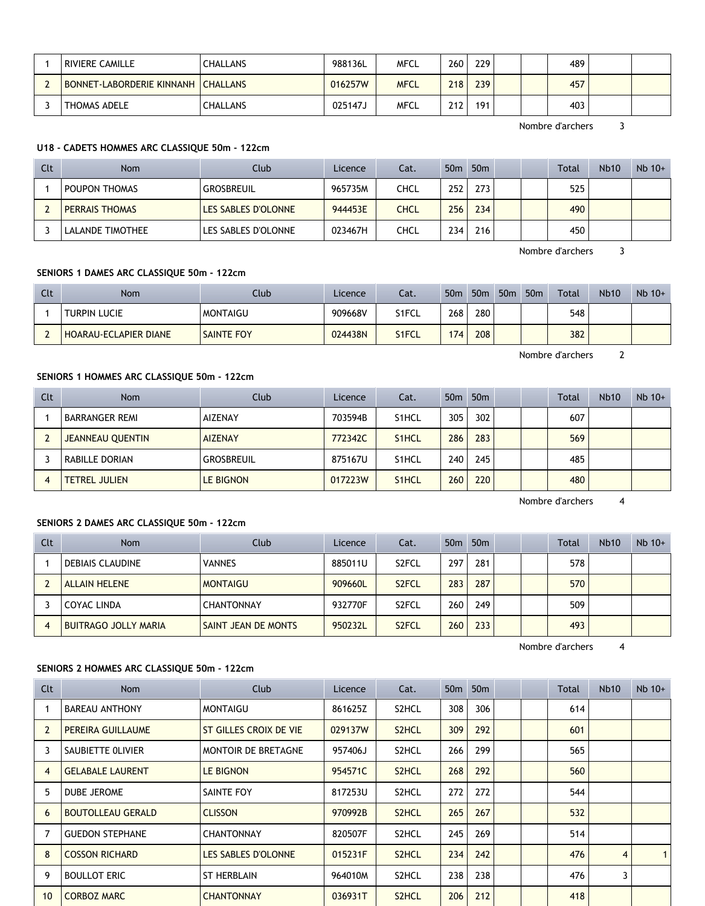| RIVIERE CAMILLE                    | <b>CHALLANS</b> | 988136L | MFCL        | 260              | 229 | 489 |  |
|------------------------------------|-----------------|---------|-------------|------------------|-----|-----|--|
| BONNET LABORDERIE KINNANH CHALLANS |                 | 016257W | <b>MFCL</b> | 218              | 239 | 457 |  |
| THOMAS ADELE                       | <b>CHALLANS</b> | 025147J | MFCL        | 212 <sub>1</sub> | 191 | 403 |  |

Nombre d'archers 3

# **U18 - CADETS HOMMES ARC CLASSIQUE 50m - 122cm**

| Clt | Nom                   | <b>Club</b>         | Licence | Cat. | 50 <sub>m</sub> | 50 <sub>m</sub> |  | <b>Total</b> | <b>Nb10</b> | $Nb$ 10+ |
|-----|-----------------------|---------------------|---------|------|-----------------|-----------------|--|--------------|-------------|----------|
|     | POUPON THOMAS         | GROSBREUIL          | 965735M | CHCL | 252             | 273             |  | 525          |             |          |
|     | <b>PERRAIS THOMAS</b> | LES SABLES D'OLONNE | 944453E | CHCL | 256             | 234             |  | 490          |             |          |
|     | LALANDE TIMOTHEE      | LES SABLES D'OLONNE | 023467H | CHCL | 234             | 216             |  | 450          |             |          |

Nombre d'archers 3

## **SENIORS 1 DAMES ARC CLASSIQUE 50m - 122cm**

| Clt | Nom                          | Club            | Licence | Cat.  | 50 <sub>m</sub> | 50 <sub>m</sub> | 50 <sub>m</sub> | 50 <sub>m</sub> | Total | <b>Nb10</b> | $Nb$ 10+ |
|-----|------------------------------|-----------------|---------|-------|-----------------|-----------------|-----------------|-----------------|-------|-------------|----------|
|     | <b>TURPIN LUCIE</b>          | <b>MONTAIGU</b> | 909668V | S1FCL | 268             | 280             |                 |                 | 548   |             |          |
|     | <b>HOARAU-ECLAPIER DIANE</b> | SAINTE FOY      | 024438N | S1FCL | 174             | 208             |                 |                 | 382   |             |          |

Nombre d'archers 2

# **SENIORS 1 HOMMES ARC CLASSIQUE 50m - 122cm**

| Clt            | <b>Nom</b>              | Club             | Licence | Cat.               | 50 <sub>m</sub> | 50 <sub>m</sub> |  | <b>Total</b> | Nb10 | $Nb$ 10+ |
|----------------|-------------------------|------------------|---------|--------------------|-----------------|-----------------|--|--------------|------|----------|
|                | <b>BARRANGER REMI</b>   | <b>AIZENAY</b>   | 703594B | S <sub>1</sub> HCL | 305             | 302             |  | 607          |      |          |
|                | <b>JEANNEAU QUENTIN</b> | <b>AIZENAY</b>   | 772342C | S <sub>1</sub> HCL | 286             | 283             |  | 569          |      |          |
|                | RABILLE DORIAN          | GROSBREUIL       | 875167U | S <sub>1</sub> HCL | 240             | 245             |  | 485          |      |          |
| $\overline{4}$ | <b>TETREL JULIEN</b>    | <b>LE BIGNON</b> | 017223W | S <sub>1</sub> HCL | 260             | 220             |  | 480          |      |          |

Nombre d'archers 4

## **SENIORS 2 DAMES ARC CLASSIQUE 50m - 122cm**

| Clt | <b>Nom</b>                  | Club                | Licence | Cat.               | 50 <sub>m</sub> | 50 <sub>m</sub> |  | Total | <b>Nb10</b> | $Nb$ 10+ |
|-----|-----------------------------|---------------------|---------|--------------------|-----------------|-----------------|--|-------|-------------|----------|
|     | <b>DEBIAIS CLAUDINE</b>     | <b>VANNES</b>       | 885011U | S <sub>2</sub> FCL | 297             | 281             |  | 578   |             |          |
|     | <b>ALLAIN HELENE</b>        | <b>MONTAIGU</b>     | 909660L | S <sub>2</sub> FCL | 283             | 287             |  | 570   |             |          |
|     | COYAC LINDA                 | <b>CHANTONNAY</b>   | 932770F | S <sub>2</sub> FCL | 260             | 249             |  | 509   |             |          |
| 4   | <b>BUITRAGO JOLLY MARIA</b> | SAINT JEAN DE MONTS | 950232L | S <sub>2</sub> FCL | 260             | 233             |  | 493   |             |          |

Nombre d'archers 4

# **SENIORS 2 HOMMES ARC CLASSIQUE 50m - 122cm**

| Clt            | Nom                      | <b>Club</b>                | Licence | Cat.               | 50 <sub>m</sub> | 50 <sub>m</sub> |  | Total | <b>Nb10</b> | $Nb$ 10+ |
|----------------|--------------------------|----------------------------|---------|--------------------|-----------------|-----------------|--|-------|-------------|----------|
|                | <b>BAREAU ANTHONY</b>    | <b>MONTAIGU</b>            | 861625Z | S2HCL              | 308             | 306             |  | 614   |             |          |
| $\overline{2}$ | PEREIRA GUILLAUME        | ST GILLES CROIX DE VIE     | 029137W | S <sub>2</sub> HCL | 309             | 292             |  | 601   |             |          |
| 3              | SAUBIETTE OLIVIER        | MONTOIR DE BRETAGNE        | 957406J | S <sub>2</sub> HCL | 266             | 299             |  | 565   |             |          |
| 4              | <b>GELABALE LAURENT</b>  | <b>LE BIGNON</b>           | 954571C | S <sub>2</sub> HCL | 268             | 292             |  | 560   |             |          |
| 5              | DUBE JEROME              | SAINTE FOY                 | 817253U | S2HCL              | 272             | 272             |  | 544   |             |          |
| 6              | <b>BOUTOLLEAU GERALD</b> | <b>CLISSON</b>             | 970992B | S <sub>2</sub> HCL | 265             | 267             |  | 532   |             |          |
|                | <b>GUEDON STEPHANE</b>   | <b>CHANTONNAY</b>          | 820507F | S2HCL              | 245             | 269             |  | 514   |             |          |
| 8              | <b>COSSON RICHARD</b>    | <b>LES SABLES D'OLONNE</b> | 015231F | S <sub>2</sub> HCL | 234             | 242             |  | 476   | 4           |          |
| 9              | <b>BOULLOT ERIC</b>      | <b>ST HERBLAIN</b>         | 964010M | S <sub>2</sub> HCL | 238             | 238             |  | 476   | 3           |          |
| 10             | <b>CORBOZ MARC</b>       | <b>CHANTONNAY</b>          | 036931T | S <sub>2</sub> HCL | 206             | 212             |  | 418   |             |          |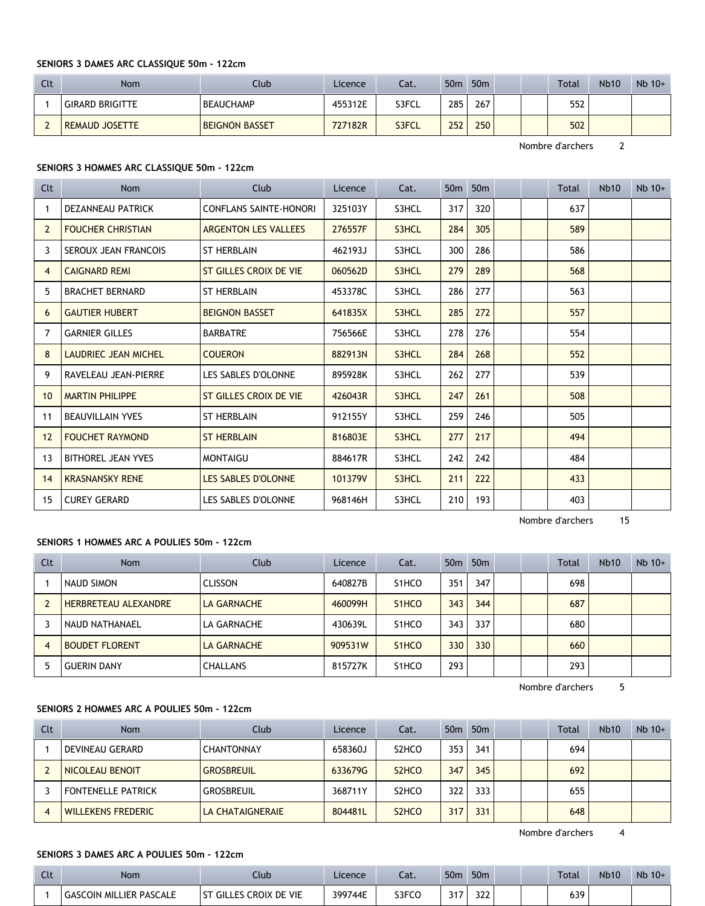## **SENIORS 3 DAMES ARC CLASSIQUE 50m - 122cm**

| Clt | Nom                    | Club                  | Licence | Cat.  | 50 <sub>m</sub> | 50 <sub>m</sub> |  | Total | <b>Nb10</b> | $Nb$ 10+ |
|-----|------------------------|-----------------------|---------|-------|-----------------|-----------------|--|-------|-------------|----------|
|     | <b>GIRARD BRIGITTE</b> | <b>BEAUCHAMP</b>      | 455312E | S3FCL | 285             | 267             |  | 552   |             |          |
|     | <b>REMAUD JOSETTE</b>  | <b>BEIGNON BASSET</b> | 727182R | S3FCL | 252             | 250             |  | 502   |             |          |

Nombre d'archers 2

## **SENIORS 3 HOMMES ARC CLASSIQUE 50m - 122cm**

| Clt | <b>Nom</b>                  | Club                          | Licence | Cat.  | 50 <sub>m</sub> | 50 <sub>m</sub> |  | Total | <b>Nb10</b> | $Nb$ 10+ |
|-----|-----------------------------|-------------------------------|---------|-------|-----------------|-----------------|--|-------|-------------|----------|
| 1   | DEZANNEAU PATRICK           | <b>CONFLANS SAINTE-HONORI</b> | 325103Y | S3HCL | 317             | 320             |  | 637   |             |          |
| 2   | <b>FOUCHER CHRISTIAN</b>    | <b>ARGENTON LES VALLEES</b>   | 276557F | S3HCL | 284             | 305             |  | 589   |             |          |
| 3   | <b>SEROUX JEAN FRANCOIS</b> | <b>ST HERBLAIN</b>            | 462193J | S3HCL | 300             | 286             |  | 586   |             |          |
| 4   | <b>CAIGNARD REMI</b>        | ST GILLES CROIX DE VIE        | 060562D | S3HCL | 279             | 289             |  | 568   |             |          |
| 5   | <b>BRACHET BERNARD</b>      | <b>ST HERBLAIN</b>            | 453378C | S3HCL | 286             | 277             |  | 563   |             |          |
| 6   | <b>GAUTIER HUBERT</b>       | <b>BEIGNON BASSET</b>         | 641835X | S3HCL | 285             | 272             |  | 557   |             |          |
| 7   | <b>GARNIER GILLES</b>       | <b>BARBATRE</b>               | 756566E | S3HCL | 278             | 276             |  | 554   |             |          |
| 8   | LAUDRIEC JEAN MICHEL        | <b>COUERON</b>                | 882913N | S3HCL | 284             | 268             |  | 552   |             |          |
| 9   | RAVELEAU JEAN-PIERRE        | LES SABLES D'OLONNE           | 895928K | S3HCL | 262             | 277             |  | 539   |             |          |
| 10  | <b>MARTIN PHILIPPE</b>      | ST GILLES CROIX DE VIE        | 426043R | S3HCL | 247             | 261             |  | 508   |             |          |
| 11  | <b>BEAUVILLAIN YVES</b>     | <b>ST HERBLAIN</b>            | 912155Y | S3HCL | 259             | 246             |  | 505   |             |          |
| 12  | <b>FOUCHET RAYMOND</b>      | <b>ST HERBLAIN</b>            | 816803E | S3HCL | 277             | 217             |  | 494   |             |          |
| 13  | <b>BITHOREL JEAN YVES</b>   | <b>MONTAIGU</b>               | 884617R | S3HCL | 242             | 242             |  | 484   |             |          |
| 14  | <b>KRASNANSKY RENE</b>      | LES SABLES D'OLONNE           | 101379V | S3HCL | 211             | 222             |  | 433   |             |          |
| 15  | <b>CUREY GERARD</b>         | LES SABLES D'OLONNE           | 968146H | S3HCL | 210             | 193             |  | 403   |             |          |

Nombre d'archers 15

# **SENIORS 1 HOMMES ARC A POULIES 50m - 122cm**

| Clt | <b>Nom</b>                  | Club               | Licence | Cat.               | 50 <sub>m</sub> | 50 <sub>m</sub> |  | <b>Total</b> | <b>Nb10</b> | $Nb$ 10+ |
|-----|-----------------------------|--------------------|---------|--------------------|-----------------|-----------------|--|--------------|-------------|----------|
|     | NAUD SIMON                  | <b>CLISSON</b>     | 640827B | S <sub>1</sub> HCO | 351             | 347             |  | 698          |             |          |
|     | <b>HERBRETEAU ALEXANDRE</b> | LA GARNACHE        | 460099H | S <sub>1</sub> HCO | 343             | 344             |  | 687          |             |          |
|     | NAUD NATHANAEL              | LA GARNACHE        | 430639L | S <sub>1</sub> HCO | 343             | 337             |  | 680          |             |          |
| 4   | <b>BOUDET FLORENT</b>       | <b>LA GARNACHE</b> | 909531W | S <sub>1</sub> HCO | 330             | 330             |  | 660          |             |          |
|     | <b>GUERIN DANY</b>          | <b>CHALLANS</b>    | 815727K | S <sub>1</sub> HCO | 293             |                 |  | 293          |             |          |

Nombre d'archers 5

# **SENIORS 2 HOMMES ARC A POULIES 50m - 122cm**

| Clt | <b>Nom</b>                | Club                    | Licence | Cat.                           | 50 <sub>m</sub> | 50 <sub>m</sub> |  | <b>Total</b> | <b>Nb10</b> | $Nb$ 10+ |
|-----|---------------------------|-------------------------|---------|--------------------------------|-----------------|-----------------|--|--------------|-------------|----------|
|     | DEVINEAU GERARD           | <b>CHANTONNAY</b>       | 658360J | S <sub>2</sub> HCO             | 353             | 341             |  | 694          |             |          |
|     | I NICOLEAU BENOIT         | <b>GROSBREUIL</b>       | 633679G | S <sub>2</sub> HCO             | 347             | 345             |  | 692          |             |          |
|     | <b>FONTENELLE PATRICK</b> | GROSBREUIL              | 368711Y | S <sub>2</sub> HCO             | 322             | 333             |  | 655          |             |          |
| 4   | <b>WILLEKENS FREDERIC</b> | <b>LA CHATAIGNERAIE</b> | 804481L | S <sub>2</sub> H <sub>CO</sub> | 317             | 331             |  | 648          |             |          |

Nombre d'archers 4

## **SENIORS 3 DAMES ARC A POULIES 50m - 122cm**

| C14<br>นเ | Nom                            | Club                               | Licence | cal.  | 50 <sub>m</sub>   | 50 <sub>m</sub> |  | <b>Total</b> | Nb10 | $Nb$ 10+ |
|-----------|--------------------------------|------------------------------------|---------|-------|-------------------|-----------------|--|--------------|------|----------|
|           | <b>GASCOIN MILLIER PASCALE</b> | : Croix de Vie<br><b>ST GILLES</b> | 399744E | S3FCO | 247<br><u>JII</u> | 322             |  | 639          |      |          |